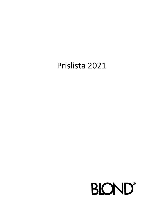## Prislista 2021

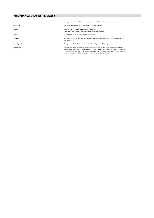## **ALLMÄNNA LEVERANSBESTÄMMELSER**

| Priser            | Avser grundpriser för år 2021, med undantag av Gunnar Asplund sortiment som avser nettopriser.                                                                                                                                                                                                                                                                                                                               |
|-------------------|------------------------------------------------------------------------------------------------------------------------------------------------------------------------------------------------------------------------------------------------------------------------------------------------------------------------------------------------------------------------------------------------------------------------------|
| Lev. villkor      | Fritt fabrik, inkl. ytteremballage. All transport sker på köparens risk.                                                                                                                                                                                                                                                                                                                                                     |
| Ljuskälla         | Ljuskällor ingår ej i angivna priser om inget annat anges.<br>Vid bestyckning av armaturer med LED-modul / -er ingår alltid liuskälla.                                                                                                                                                                                                                                                                                       |
| Garanti           | Garantitid 2 år om inget annat anges / överenskommes.                                                                                                                                                                                                                                                                                                                                                                        |
| Försäkring        | All transport sker på köparens risk. Vid inträffad skada skall köparen omedelbart göra anmälan härom till<br>transportbolaget.                                                                                                                                                                                                                                                                                               |
| Betalningsvillkor | 30 dagar netto. Dröjsmålsränta debiteras efter förfallodagen med 12% över gällande diskonto.                                                                                                                                                                                                                                                                                                                                 |
| Reklamationer     | Kvalitetsanmärkning som kommit säljaren tillhanda senast 14 dagar efter varans mottagande, skall efter<br>godkännande regleras genom utbyte till felfri vara. Då utbyte ej kan ske, får avdrag vid betalning endast ske<br>efter kreditfaktura från säljaren. Returer utan leverantörens godkännande accepteras ei. Vid godkänd retur av<br>felfri vara debiteras en minihanteringskostnad om 25%. Mervärdeskatt tillkommer. |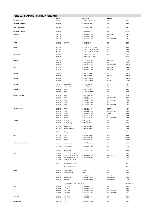## **PENDEL / PLAFOND CEILING / PENDANT**

| . ,                        | Art. no              |                                         | Dimension                            | Ljuskälla                      | <b>SEK</b>   |
|----------------------------|----------------------|-----------------------------------------|--------------------------------------|--------------------------------|--------------|
| ARKKI 590 CEILING          | 06200-35             |                                         | H 53 / W 590 x 590 mm                | LED                            | 6510         |
|                            |                      |                                         |                                      |                                |              |
| ARKKI 590 PENDANT          | 06300-35             |                                         | H 106 / 590 x 590 mm                 | LED                            | 7715         |
| ARKKI 1200 CEILING         | 06400-35             |                                         | H 33 / L 1200 mm                     | LED                            | 6875         |
| ARKKI 1200 PENDANT         | 06500-35             |                                         | H 66 / 1200 mm                       | LED                            | 7765         |
| <b>AMFORA</b>              | 18001-43             |                                         | H 800 / Ø 320 mm                     | E27 200W                       | 14910        |
|                            | 18001-46             |                                         | H 800 / Ø 320 mm                     | LED                            | 19120        |
|                            | 18001-47             |                                         | H 800 / Ø 320 mm                     | LED, Dimmable                  | 19215        |
| <b>BASIC</b>               |                      |                                         | H 50 / Ø 25 mm                       | LED                            | 3025         |
|                            | 90001-25<br>90002-25 | Spot Mini<br>Spot Medi                  | H 70 / Ø 35 mm                       | LED                            | 3575         |
|                            |                      |                                         |                                      |                                |              |
| BEND                       | 40104-25             |                                         | H 335 / L 800 / W 325 mm             | LED                            | 6985         |
|                            | 40204-25             |                                         | H 335 / L 1200 / W 325 mm            | LED                            | 9530         |
|                            | 40304-25             |                                         | H 335 / L 1800 / W 325 mm            | LED                            | 13240        |
| <b>BEND Mini</b>           | 40004-25             |                                         | H 200 / L 300 / W 205 mm             | LED                            | 4040         |
|                            | 41504-25             |                                         | H 200 / L 850 / W 205 mm             |                                | 6140         |
| <b>CAPRIS</b>              | 19001-43             |                                         | H 410 / Ø 430 mm                     | E27 200W                       | 11760        |
|                            | 19001-46             |                                         | H 410 / Ø 430 mm                     | LED                            | 12495        |
|                            | 19001-47             |                                         | H 410 / Ø 430 mm                     | LED, Dimmable                  | 12965        |
|                            |                      |                                         |                                      |                                |              |
| <b>CELLO</b>               | 01321-30<br>01221-30 |                                         | H 600 / Ø 360 mm<br>H 350 / Ø 240 mm | E27 100W<br>E27 100W           | 3320<br>2990 |
|                            |                      |                                         |                                      |                                |              |
| <b>CHORUS 3</b>            | 21630-25             |                                         | H 120 / L 1090 mm                    | LED                            | 9385         |
|                            | 21630-27             |                                         | H 120 / L 1090 mm                    | LED DALI                       | 11110        |
| <b>CHORUS 5</b>            | 21730-25             |                                         | H 120 / L 1900 mm                    | LED                            | 13975        |
|                            | 21730-27             |                                         | H 120 / L 1900 mm                    | LED DALI                       | 15695        |
|                            |                      |                                         |                                      |                                |              |
| <b>CHORUS 21</b>           | 21005-25             | Black / White                           | H 117 / Ø 160 mm                     | LED                            | 3985         |
|                            | 21010-24             | White / White                           | H 117 / Ø 160 mm                     | LED                            | 3985         |
| <b>CHORUS 31</b>           | 31010-25             | White                                   | H 1250 / Ø 335 mm                    | LED                            | 9395         |
|                            | 31010-27             | White                                   | H 1250 / Ø 335 mm                    | LED                            | 9920         |
|                            |                      |                                         |                                      |                                |              |
| <b>CONTRA PENDANT</b>      | 03121-35<br>03121-37 | Medi<br>Medi                            | H 200 / Ø 450 mm<br>H 200 / Ø 450 mm | LED<br>LED, Dimmable           | 6230<br>6575 |
|                            | 03321-35             | Macro                                   | H 200 / Ø 640 mm                     | LED                            | 6685         |
|                            | 03321-37             | Macro                                   | H 200 / Ø 640 mm                     | LED, Dimmable                  | 7030         |
|                            | 03521-35             | Maxi                                    | H 370 / Ø 640 mm                     | LED                            | 7275         |
|                            | 03521-37             | Maxi                                    | H 370 / Ø 640 mm                     | LED, Dimmable                  | 7675         |
| <b>CONTRA CEILING</b>      | 03221-30             | Medi                                    | H 200 / Ø 450 mm                     | 3 x E27                        | 4430         |
|                            | 03221-35             | Medi                                    | H 200 / Ø 450 mm                     | LED                            | 4580         |
|                            | 03221-37             | Medi                                    | H 200 / Ø 450 mm                     | LED, Dimmable                  | 4985         |
|                            | 03421-30             | Macro                                   | H 200 / Ø 640 mm                     | 3 x E27                        | 4410         |
|                            | 03421-35             | Macro                                   | H 200 / Ø 640 mm                     | LED                            | 4890         |
|                            | 03421-37             | Macro                                   | H 200 / Ø 640 mm                     | LED. Dimmable                  | 5440         |
| <b>EXTEND</b>              | 41104-25             | Single, Basic                           | L 1400 / Ø 60 mm                     | LED                            | 6240         |
|                            | 41104-25             | Single, Darklight                       | L 1400 / Ø 60 mm                     | LED                            | 7610         |
|                            |                      |                                         |                                      |                                |              |
|                            | 41204-25<br>41204-25 | System, Basic<br>System, Darklight      | L 1400 / Ø 60 mm<br>L 1400 / Ø 60 mm | LED<br>LED                     | 6560<br>7930 |
|                            |                      |                                         |                                      |                                |              |
|                            | $9 - 33$             | Ceiling attachment wire                 |                                      |                                | 210          |
| GIA                        | 02105-25             | Micro                                   | H 200 / Ø360 mm                      | LED                            | 5700         |
|                            | 02205-25             | Medi                                    | H 260 / Ø 460 mm                     | LED                            | 8090         |
|                            | 02305-25             | Macro                                   | H 300 / Ø 630 mm                     | LED                            | 10785        |
|                            |                      |                                         |                                      |                                |              |
| <b>GLÄNTA MAXI PENDANT</b> | 11005-25             | Maxi, Pendant                           | H 200 / Ø 1000 mm                    | LED                            | 24985        |
|                            | 11103-25             | Mini, Pendant                           | H 200 / Ø 670 mm                     | LED                            | 21050        |
|                            |                      |                                         |                                      |                                |              |
|                            | 11215-25             | Mini, Ceiling                           | H 250 / Ø 670 mm                     | LED                            | 20765        |
| GRID                       | 17100-20             | Junction without shade                  |                                      | ÷                              | 1355         |
|                            | 17120-20             | Junction with shade, E27                | H 250 / Ø 200 mm                     | E27 lampholder                 | 2485         |
|                            | 17120-25             | Junction with shade, LED                | H 250 / Ø 200 mm                     | LED                            | 2585         |
|                            | 17200-20             | Tube for C/C 1000 mm                    |                                      |                                | 210          |
|                            | $9 - 33$             | Ceiling attachment wire                 |                                      |                                | 210          |
|                            |                      |                                         |                                      |                                |              |
|                            |                      | Customized length tube                  |                                      |                                | On request   |
| HUILU                      | 00812-20             | Luminaire Body                          | L 1200                               | LED                            | 5245         |
|                            | 00811-20             | Luminaire Body                          | L 2000                               | LED                            | 9340         |
|                            |                      |                                         |                                      |                                |              |
|                            | 00813-25<br>00814-25 | Reflector S<br>Reflector M              | H 250 / W 250 mm<br>H 400 / W 400 mm | Painted metal<br>Painted metal | 1260<br>1890 |
|                            | 00815-25             | Reflector L                             | H 650 / W 650 mm                     | Painted metal                  | 2570         |
|                            |                      |                                         |                                      |                                |              |
|                            |                      | Customized reflectors (material, size ) |                                      |                                | On request   |
| KIVI                       | 28010-45             | High Shade                              | H 400 / Ø 520 mm                     | LED                            | 8585         |
|                            | 28110-45             | Low Shade                               | H 400 / Ø 520 mm                     | LED                            | 8945         |
|                            | 28010-47             | <b>High Shade</b>                       | H 400 / Ø 520 mm                     | LED, Dimmable                  | 9360         |
|                            | 28110-47             | Low Shade                               | H 400 / Ø 520 mm                     | LED, Dimmable                  | 10270        |
| <b>KIVI MINI</b>           | 28200-25             | Low Shade                               |                                      | LED                            | 3515         |
|                            | 28300-25             | <b>High Shade</b>                       | H 130 / Ø 180 mm<br>H 130 / Ø 180 mm | LED                            | 3655         |
|                            |                      |                                         |                                      |                                |              |
| <b>KULHO MEDI</b>          | 00908-55             | Oak                                     | H 260 / Ø 960 mm                     | LED                            | 37780        |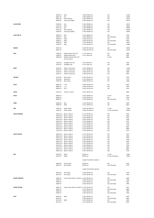|                      | 00910-55             | Birch                                          | H 260 / Ø 960 mm            | <b>LED</b>        | 32390 |
|----------------------|----------------------|------------------------------------------------|-----------------------------|-------------------|-------|
|                      | 00911-55             | Ash                                            | H 260 / Ø 960 mm            | LED               | 34790 |
|                      | 00912-55             | <b>Birch Plywood</b>                           | H 260 / Ø 960 mm            | LED               | 30125 |
|                      | 00900-55             | Valchromat (MDF)                               | H 260 / Ø 960 mm            | LED               | 32535 |
|                      |                      |                                                |                             |                   |       |
| <b>KULHO MINI</b>    | 01908-55             | Oak                                            | H 185 / Ø 680 mm            | LED               | 32535 |
|                      | 01910-55             | Birch                                          | H 185 / Ø 680 mm            | <b>LED</b>        | 26865 |
|                      | 01911-55             | Ash                                            | H 185 / Ø 680 mm            | <b>LED</b>        | 29560 |
|                      | 01912-55             | <b>Birch Plywood</b>                           | H 185 / Ø 680 mm            | LED               | 25020 |
|                      | 01900-55             | Valchromat (MDF)                               | H 185 / Ø 680 mm            | LED               | 26865 |
|                      |                      |                                                |                             |                   |       |
| LIGHT ME UP          | 29500-25             | Mini                                           | H 250 / Ø160 mm             | LED               | 5720  |
|                      | 29500-27             | Mini                                           | H 250 / Ø160 mm             | LED, dimmable     | 5980  |
|                      | 29600-25             | Medi                                           | H 500 / Ø 320 mm            | LED               | 9200  |
|                      | 29600-27             | Medi                                           | H 500 / Ø 320 mm            | LED, dimmable     | 9450  |
|                      | 29700-25             | Maxi                                           | H 710 / Ø 500 mm            | LED               | 14010 |
|                      | 29700-27             | Maxi                                           | H 710 / Ø 500 mm            | LED, dimmable     | 14260 |
|                      |                      |                                                |                             |                   |       |
| <b>MEZZO</b>         | 00921-35             |                                                | H 360 / Ø 1250 mm           | LED               | 20950 |
|                      | 00921-37             |                                                | H 360 / Ø 1250 mm           | LED, Dimmable     | 24740 |
|                      |                      |                                                |                             |                   |       |
| MILL                 | 12009-25             | Single Pendant ON / OFF                        | H 115 / Ø 84 mm             | LED               | 2880  |
|                      | 12009-27             | Single Pendant DALI                            | H 115 / Ø 84 mm             | LED               | 3620  |
|                      | 92009-25             | Modular Pendant ON / OFF                       |                             | 2 x LED           | 6860  |
|                      |                      | Two luminaires                                 |                             |                   |       |
|                      |                      |                                                |                             |                   |       |
|                      | 12010-25             | Spotlight, ON / OFF                            | H 115 / Ø 84 mm             | LED               | 3250  |
|                      | 12010-27             | Spotlight, DALI                                | H 115 / Ø 84 mm             | LED               | 3830  |
|                      | 20163-25             |                                                | H 555 / Ø 280 mm            |                   | 11395 |
| <b>MISO</b>          |                      | White or Dark Grey                             | H 555 / Ø 280 mm            | LED               |       |
|                      | 20163-27             | White or Dark Grey                             |                             | LED               | 12335 |
|                      | 20165-25             | White or Dark Grey                             | H 340 / Ø 245 mm            | LED               | 8380  |
|                      | 20165-27             | White or Dark Grey                             | H 340 / Ø 245 mm            | <b>LED</b>        | 8765  |
|                      |                      |                                                |                             |                   |       |
| <b>MIYOKO</b>        | 20720-40<br>20730-40 | Macro Glass                                    | H 367 / Ø 530 mm            | E27               | 7620  |
|                      |                      | Medi Glass                                     | H 312 / Ø 450 mm            | E27               | 7375  |
|                      | 20740-30             | Micro Glass                                    | H 300 / Ø 350 mm            | E27               | 3380  |
|                      |                      |                                                |                             |                   |       |
| <b>NOTE</b>          | 00801-25             | L/M                                            | H 650 / W 650 mm            | LED               | 8450  |
|                      | 00802-25             | L/S                                            | H 650 / W 650 mm            | <b>LED</b>        | 7985  |
|                      | 00803-25             | M/S                                            | H 402 / W 402 mm            | <b>LED</b>        | 6250  |
|                      |                      |                                                |                             |                   |       |
| <b>NOVA</b>          | 37105-25             | Interiör / Interior                            | H 155 / Ø 570 mm            |                   | 6960  |
|                      |                      |                                                |                             |                   |       |
| <b>OPUS</b>          | 00605-20             |                                                | H 230 / Ø 640 mm            | 3 x E27           | 6575  |
|                      | 00605-25             |                                                | H 230 / Ø 640 mm            | LED               | 7240  |
|                      | 00605-27             |                                                | H 230 / Ø 640 mm            | LED, Dimmable     | 7790  |
| <b>ORBS</b>          | 04306-45             | Mini                                           | H 225 / Ø 260 mm            | LED               | 5490  |
|                      | 04006-45             | Medi                                           | H 315 / Ø 360 mm            | LED               | 8035  |
|                      |                      |                                                |                             |                   |       |
|                      | 15005-35             |                                                |                             |                   | 15780 |
|                      |                      |                                                |                             |                   |       |
| QIN                  |                      | White Textile                                  | H 300 / Ø 1400 mm           | 3 x LED           |       |
|                      | 15005-37             | <b>White Textile</b>                           | H 300 / Ø 1400 mm           | 3 x LED, Dimmable | 19090 |
|                      |                      |                                                |                             |                   |       |
| <b>RAITA PENDANT</b> | 20910-25 L           | <b>Black or Nature</b>                         | H 115 / Ø 160 mm            | LED               | 3455  |
|                      | 20910-25 H           | <b>Black or Nature</b>                         | H 175 / Ø 160 mm            | LED               | 3830  |
|                      | 20110-25 L           | <b>Black or Nature</b>                         | H 100 / Ø 260 mm            | LED               | 5765  |
|                      |                      | 20110-25 H Black or Nature                     | H 265 / Ø 260 mm            | <b>LED</b>        | 6340  |
|                      | 20210-25 L           | <b>Black or Nature</b>                         | H 130 / Ø 360 mm            | LED               | 6575  |
|                      |                      | 20210-25 H Black or Nature                     | H 175 / Ø 360 mm            | LED               | 7210  |
|                      | 20310-25 L           | <b>Black or Nature</b>                         | H 145 / Ø 460 mm            | LED               | 7360  |
|                      |                      | 20310-25 H Black or Nature                     | H 235 / Ø 460 mm            | <b>LED</b>        | 8015  |
|                      |                      | 20410-25 L Black or Nature                     | H 145 / Ø 560 mm            | LED               | 8885  |
|                      |                      | 21410-25 H Black or Nature                     | H 205 / Ø 560 mm            | LED               | 9170  |
|                      |                      |                                                |                             |                   |       |
| <b>RAITA CEILING</b> |                      | 20810-25 L Black or Nature                     | H 115 / Ø 160 mm            | LED               | 3455  |
|                      | 20810-25 H           | <b>Black or Nature</b>                         | H 115 / Ø 160 mm            | LED               | 3830  |
|                      | 20510-25L            | <b>Black or Nature</b>                         | H 100 / Ø 260 mm            | LED               | 5765  |
|                      |                      | 20510-25 H Black or Nature                     | H 265 / Ø 260 mm            | LED               | 6340  |
|                      | 20610-25L            | <b>Black or Nature</b>                         | H 130 / Ø 360 mm            | LED               | 6575  |
|                      |                      | 20610-25 H Black or Nature                     | H 175 / Ø 360 mm            | LED               | 7210  |
|                      | 20710-25L            | <b>Black or Nature</b>                         | H 145 / Ø 460 mm            | LED               | 7360  |
|                      | 20710-25 H           | <b>Black or Nature</b>                         | H 235 / Ø 460 mm            | LED               | 8015  |
|                      |                      | 20810-25 L Black or Nature                     | H 145 / Ø 560 mm            | LED               | 8885  |
|                      |                      | 20810-25 H Black or Nature                     | H 205 / Ø 560 mm            | LED               | 9170  |
|                      |                      |                                                |                             |                   |       |
| <b>REX</b>           | 01033-46             | Major                                          | Ø 820 mm                    | 3 x LED           | 15095 |
|                      | 01033-47             | Major                                          | Ø 820 mm                    | 3 x LED, Dimmable | 16365 |
|                      |                      |                                                |                             |                   |       |
|                      |                      |                                                | Length of pendulum optional |                   |       |
|                      | 00433-46             | <b>Rex Pendant</b>                             | Ø 500 mm                    | LED               | 9250  |
|                      | 00433-47             | <b>Rex Pendant</b>                             | Ø 500 mm                    | LED, Dimmable     | 9770  |
|                      |                      |                                                |                             |                   |       |
|                      |                      |                                                | Length of pendulum optional |                   |       |
|                      |                      |                                                |                             |                   |       |
|                      | 00533-46             | <b>Rex Ceiling</b>                             | H 160 / Ø 450 mm            | LED               | 5150  |
|                      | 00533-47             | <b>Rex Ceiling</b>                             | H 160 / Ø 450 mm            | LED, Dimmable     | 5950  |
|                      |                      |                                                |                             |                   |       |
| <b>SHADE PENDANT</b> | 20003-25             | Colour Sand, Shade or Tobacco H 240 / Ø 220 mm |                             | LED               | 5090  |
|                      | 20003-27             |                                                | H 240 / Ø 220 mm            | LED, Dimmable     | 5250  |
|                      | 20004-25             |                                                | H 330 / Ø 420 mm            | LED               | 7805  |
|                      | 20004-27             |                                                | H 330 / Ø 420 mm            | LED, Dimmable     | 7990  |
|                      |                      |                                                |                             |                   |       |
| <b>SHADE CEILING</b> | 20001-25             | Colour Sand, Shade or Tobacco H 145 / Ø 220 mm |                             | LED               | 4615  |
|                      | 20001-27             |                                                | H 145 / Ø 220 mm            | LED, Dimmable     | 4860  |
|                      | 20002-25             |                                                | H 185 / Ø 420 mm            | LED               | 7805  |
|                      | 20002-27             |                                                | H 185 / Ø 420 mm            | LED, Dimmable     | 7950  |
|                      |                      |                                                |                             |                   |       |
| <b>SOFT</b>          | 05010-35             | MINI                                           | H 300 / Ø 430 mm            | LED               | 6560  |
|                      | 05010-37             |                                                | H 300 / Ø 430 mm            | LED, Dimmable     | 6850  |
|                      | 05110-35             | MEDI                                           | H 375 / Ø 640 mm            | LED               | 8185  |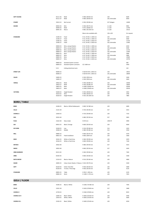| <b>SOFT CEILING</b> | 05111-35 | Medi                      | H 400 / Ø 650 mm           | LED              | 8185        |
|---------------------|----------|---------------------------|----------------------------|------------------|-------------|
|                     | 05111-37 | Medi                      | H 400 / Ø 650 mm           | LED, Dimmable    | 8350        |
|                     |          |                           |                            |                  |             |
| <b>STARRY</b>       | 25013-15 | Net Current               | H 350 / Ø 300 mm           | E27 Halogen      | 12690       |
|                     |          |                           |                            |                  |             |
| SOUND               | 00932-35 | Mini                      | H 350 / Ø 575 mm           | 2 x LED          | 9955        |
|                     | 00940-35 | Medi                      | H 475 / Ø 840 mm           | 2 x LED          | 12790       |
|                     | 00941-35 | Macro                     | H 865 / Ø 1550 mm          | 2 x LED          | 15515       |
|                     |          |                           |                            |                  |             |
|                     |          |                           | Macro also available with: | $3/6 \times$ LED | On request. |
| <b>STANDARD</b>     | 31305-25 | Fixed                     | H 31 / W 40 / L 1300 mm    | LED              | 6250        |
|                     | 31305-27 | Fixed                     | H 31 / W 40 / L 1300 mm    | LED, dimmable    | 6500        |
|                     | 31405-25 | Fixed                     | H 31 / W 40 / L 2420 mm    | LED              | 11725       |
|                     | 31405-27 | Fixed                     | H 31 / W 40 / L 2420 mm    | LED, dimmable    | 11995       |
|                     |          |                           |                            |                  |             |
|                     | 00830-25 | Wire, canopy fixation     | H 31 / W 40 / L 1300 mm    | LED              | 6250        |
|                     | 00830-27 | Wire, canopy fixation     | H 31 / W 40 / L 1300 mm    | LED, dimmable    | 6500        |
|                     | 00840-25 | Wire, canopy fixation     | H 31 / W 40 / L 2420 mm    | LED              | 11725       |
|                     | 00840-27 | Wire, canopy fixation     | H 31 / W 40 / L 2420 mm    | LED, dimmable    | 11995       |
|                     | 00835-25 | Wire                      | H 31 / W 40 / L 1300 mm    | LED              | 5680        |
|                     | 00835-27 | Wire                      | H 31 / W 40 / L 1300 mm    | LED, dimmable    | 5890        |
|                     | 00845-25 | Wire                      | H 31 / W 40 / L 2420 mm    | LED              | 10585       |
|                     | 00845-27 | Wire                      | H 31 / W 40 / L 2420 mm    | LED, dimmable    | 10750       |
|                     |          |                           |                            |                  |             |
|                     | 00850-20 | Standard System Junction  |                            |                  | 600         |
|                     | 00850-25 | Standard System Luminaire | C/C 1000 mm                |                  | 5950        |
|                     |          |                           |                            |                  |             |
|                     | $9 - 33$ | Ceiling attachment wire   |                            |                  | 210         |
| <b>STREET LIFE</b>  | 06006-25 |                           | H 420 W 670 L 1340 mm      | LED              | 14815       |
|                     | 06006-27 |                           | H 420 W 670 L 1340 mm      | LED, dimmable    | 18690       |
|                     |          |                           |                            |                  |             |
| VALOS               | 54005-25 |                           | H 330 / Ø 90 mm            | LED              | 3430        |
|                     | 54005-27 |                           | H 330 / Ø 90 mm            | LED, dimmable    | 3650        |
|                     |          |                           |                            |                  |             |
| <b>VERSAL</b>       | 29923-25 | Medi                      | H 700 / Ø 380 mm           | LED              | 16590       |
|                     | 29923-27 | Medi                      | H 700 / Ø 380 mm           | LED, dimmable    | 16850       |
|                     | 29823-25 | Maxi                      | H 1000 / Ø 600 mm          | LED              | 20290       |
|                     | 29823-27 | Maxi                      | H 1000 / Ø 600 mm          | LED, dimmable    | 20550       |
|                     |          |                           |                            |                  |             |
| <b>VICTORIA</b>     | 50200-25 | Single Pendant            | H 335 / Ø 650 mm           | LED              | 5455        |
|                     | 50210-25 | Wire                      | H 390 / Ø 650 mm           | LED              | 5785        |
|                     | 50220-25 | Single Pendant            | H 335 / Ø 1200 mm          | LED              | 7885        |
|                     |          |                           |                            |                  |             |
|                     |          |                           |                            |                  |             |
|                     |          |                           |                            |                  |             |

| <b>BORD / TABLE</b> |
|---------------------|
|---------------------|

| <b>BEND</b>         | 41404-25             | Black or White Rubberpaint                     | H 600 / W 580 mm                       | LED        | 6385         |
|---------------------|----------------------|------------------------------------------------|----------------------------------------|------------|--------------|
| <b>CELLO</b>        | 21221-30             |                                                | H 720 / Ø 240 mm                       | E27        | 4415         |
| <b>CHORUS 2</b>     | 22630-25             |                                                | H 720 / Ø 300 mm                       | LED        | 7155         |
| EDO                 | 20322-40             |                                                | H 480 / Ø 230 mm                       | E27        | 3835         |
| <b>FUGA</b>         | 21622-40             | Glass shade                                    | H 670 mm                               | 20W HF     | 4990         |
| GIA                 | 00915-25             | Black / Orange                                 | H 600 / Ø 350 mm                       | LED        | 9630         |
| <b>KIVI MINI</b>    | 29100-25<br>29300-25 | Low<br>Middle                                  | H 150 / Ø 180 mm<br>H 380 / Ø 180 mm   | E14<br>E14 | 3255<br>3550 |
| <b>MILL</b>         | 00805-25<br>00815-25 | Fixed installation                             | H 600 / Ø 255 mm<br>H 600 / Ø 84 mm    | LED<br>LED | 3570<br>3360 |
| <b>MISO</b>         | 20161-25<br>20164-25 | White or Dark Grey<br>White or Dark Grey       | H 300 / Ø 200 mm<br>H 600 / Ø 400 mm   | LED<br>LED | 3970<br>7160 |
| <b>MIYOKO</b>       | 20422-40             |                                                | H 480 / Ø 350 mm                       | E27        | 4315         |
| <b>NIKKO</b>        | 20922-40             |                                                | H 600 / Ø 250 mm                       | E27        | 4345         |
| <b>ORBS MARMOR</b>  | 04115-45             |                                                | H 260 / Ø 260 mm                       | LED        | 7445         |
| <b>ORBS</b>         | 04105-45             |                                                | H 600 / Ø 260 mm                       | LED        | 5590         |
| <b>RAITA MICRO</b>  | 21510-25             | <b>Black or Nature</b>                         | H 510 / Ø 160 mm                       | LED        | 4060         |
| <b>SHADE</b>        | 20005-25             | Colour Sand, Shade or Tobacco H 410 / Ø 270 mm |                                        | LED        | 5430         |
| SOFT                | 05220-35<br>05230-35 | Enkel / One Rod<br>Tre ben / Three legs        | H 430 / Ø 250 mm<br>H 430 / Ø 250 mm   | LED<br>LED | 5690<br>6135 |
| <b>STANDARD</b>     | 00855-25<br>00865-25 | Table<br>Work                                  | H 350 / L 300 mm<br>H >400 / L 570 mm  | LED<br>LED | 4135<br>7655 |
| <b>GOLV / FLOOR</b> |                      |                                                |                                        |            |              |
| <b>BEND</b>         | 41405-25             | <b>Black or White</b>                          | H 1300 / W 580 mm                      | LED        | 7595         |
| <b>CELLO</b>        | 21021-30             |                                                | H 1620 / Ø 360 mm                      | E27        | 5480         |
| <b>CHORUS 2</b>     | 22730-25             |                                                | H 1560 / Ø 300 mm                      | LED        | 8525         |
| CHORUS 22 H         | 22005-25<br>22010-25 | Black / White<br>White / White                 | H 1850 / Ø 160 mm<br>H 1850 / Ø 160 mm | LED<br>LED | 6785<br>6585 |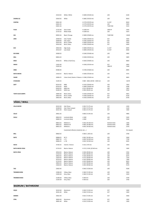|                          | 23110-25                         |                                                  |                                                             | LED                            | 6140                 |
|--------------------------|----------------------------------|--------------------------------------------------|-------------------------------------------------------------|--------------------------------|----------------------|
|                          |                                  | White / White                                    | H 1600 / Ø 160 mm                                           |                                |                      |
| <b>CHORUS 32</b>         | 32010-35                         | White                                            | H 1865 / Ø 332 mm                                           | LED                            | 8610                 |
| <b>CONTRA</b>            | 03021-30<br>03021-35<br>03021-36 |                                                  | H 1770 / Ø 370 mm<br>H 1770 / Ø 370 mm<br>H 1770 / Ø 370 mm | 3 x E27<br>LED<br>T16R 55W     | 8610<br>9395<br>9155 |
| <b>FUGA</b>              | 21722-40<br>21722-22             | Glass shade<br>Metal shade                       | H 1300 mm<br>H 1300 mm                                      | 20W HF<br>LED                  | 5345<br>5675         |
| GIA                      | 00925-26                         | Black / Orange                                   | H 1800 / Ø 460 mm                                           | T16R 55W                       | 12620                |
| JIMO                     | 20508-30                         | Oak / Textile                                    | H 1600 / Ø 430 mm                                           | E27                            | 5920                 |
|                          | 20508-40<br>20510-30             | Oak / Glass<br>Birch / Textile                   | H 1595 / Ø 450 mm<br>H 1600 / Ø 430 mm                      | E27<br>E27                     | 6450<br>5920         |
|                          | 20510-40                         | Birch / Glass                                    | H 1595 / Ø 450 mm                                           | E27                            | 6450                 |
| <b>KIVI</b>              | 29010-46<br>29110-47             | High shade<br>Low shade                          | H 1800 / Ø 520 mm<br>H 1800 / Ø 520 mm                      | 3 x E27<br>3 x E27             | 8295<br>8560         |
| <b>KIVI MINI</b>         | 29200-25                         |                                                  | H 1260 / Ø 180 mm                                           | LED                            | 3695                 |
| <b>MILL</b>              | 00816-25                         |                                                  | H 1500 / Ø 250 mm                                           | LED                            | 3695                 |
| <b>MISO</b>              | 20162-25                         | White or Dark Grey                               | H 1650 / Ø 400 mm                                           | LED                            | 8820                 |
| <b>NIKKO</b>             | 21022-40                         |                                                  | H 1500 / Ø 250 mm                                           | E27                            | 4945                 |
|                          | 21022-42                         |                                                  |                                                             | 18W HF                         | 5340                 |
| <b>ORBS</b>              | 04306-45                         |                                                  | H 1700 / Ø 360 mm                                           | <b>LED</b>                     | 8995                 |
| <b>RAITA MICRO</b>       | 21610-25                         | <b>Black or Nature</b>                           | H 1600 / Ø 160 mm                                           | LED                            | 5575                 |
| <b>SHADE</b>             | 20006-25                         | Colour Sand, Shade or Tobacco H 1580 / Ø 360 mm  |                                                             | <b>LED</b>                     | 8605                 |
| <b>STANDARD</b>          | 31205-25                         |                                                  | H 800 - 2600 / Ø 350 - 1500 mm                              | LED                            | 12670                |
| <b>SOFT</b>              | 05210-35                         | MINI                                             | H 1525 / Ø 430 mm                                           | LED                            | 7925                 |
|                          | 05310-35<br>05410-35             | MEDI<br>MINI Low                                 | H 1800 / Ø 640 mm<br>H 515 / Ø 430 mm                       | LED<br>LED                     | 9780<br>7815         |
|                          | 05200-35                         | <b>MEDI Low</b>                                  | H 590 / Ø 645 mm                                            | <b>LED</b>                     | 9550                 |
| <b>TOKYO GOLVLAMPA</b>   | 20605-40                         | Black / Glass                                    | H 1420 / Ø 500 mm                                           | E27                            | 6815                 |
|                          | 20610-30                         | Birch / Textile                                  | H 1500 / Ø 430 mm                                           | E27                            | 6720                 |
|                          | 20610-40                         | Birch / Glass                                    | H 1420 / Ø 500 mm                                           | E27                            | 6720                 |
| VÄGG / WALL              |                                  |                                                  |                                                             |                                |                      |
| <b>CELLO MICRO</b>       | 20123-30                         | Oak / Brass                                      | H 265 / D 175 mm                                            | E27                            | 2320                 |
|                          | 20108-30<br>20121-30             | Oak / Silver Lacquer<br>Silver Lacquer           | H 265 / D 175 mm<br>H 265 / D 175 mm                        | E27<br>E27                     | 2120<br>1920         |
| CELLO                    | 20021-35                         |                                                  | H 600 / D 145 mm                                            | LED                            | 4985                 |
| <b>HUILU</b>             | 00810-25                         | Luminaire Body                                   | L1200                                                       | LED                            | 5245                 |
|                          | 00800-25                         | Luminaire Body                                   | L 2000                                                      | LED                            | 9340                 |
|                          | 00813-25                         | Reflector S                                      | H 250 / W 250 mm                                            | Painted metal                  | 1260                 |
|                          | 00814-25<br>00815-25             | Reflector M<br>Reflector L                       | H 400 / W 400 mm<br>H 650 / W 650 mm                        | Painted metal<br>Painted metal | 1890<br>2570         |
|                          |                                  | Customized reflectors (material, size )          |                                                             |                                | On request           |
| <b>MILL</b>              | 00820-25                         |                                                  | H 300 / L 205 mm                                            | LED                            | 3740                 |
|                          |                                  |                                                  |                                                             |                                |                      |
| <b>NOTE</b>              | 00808-25<br>00807-25             | M/S<br>L/S                                       | H 402 / W 402 mm<br>H 650 / W 650 mm                        | LED<br>LED                     | 5930<br>7720         |
|                          | 00806-25                         | L/M                                              | H 650 / W 650 mm                                            | LED                            | 8345                 |
| <b>NOVA</b>              | 37105-25                         | Interiör / Interior                              | H 155 / 570 mm                                              | LED                            | 6955                 |
| <b>RAITA MICRO VÄGG</b>  | 21710-25                         |                                                  |                                                             |                                |                      |
| RAITA VÄGG               |                                  | <b>Black or Nature</b>                           | H 175 / D 265 / Ø 160 mm                                    | LED                            | 5285                 |
|                          | 20510-25                         | <b>Black or Nature</b>                           | H 100 / Ø 260 mm                                            | LED                            | 5765                 |
|                          | 21510-25                         | <b>Black or Nature</b>                           | H 265 / Ø 260 mm                                            | LED                            | 6340                 |
|                          | 20610-25<br>21610-25             | <b>Black or Nature</b><br><b>Black or Nature</b> | H 130 / Ø 360 mm<br>H 175 / Ø 360 mm                        | LED<br>LED                     | 6575<br>7210         |
|                          | 20710-25                         | <b>Black or Nature</b>                           | H 145 / Ø 460 mm                                            | LED                            | 7360                 |
|                          | 21710-25<br>20810-25             | <b>Black or Nature</b><br><b>Black or Nature</b> | H 235 / Ø 460 mm<br>H 145 / Ø 560 mm                        | LED<br>LED                     | 8015<br>8885         |
|                          | 21810-25                         | <b>Black or Nature</b>                           | H 205 / Ø 560 mm                                            | LED                            | 9170                 |
| <b>TAO</b>               | 23025-45                         |                                                  | H 540 / D 250 mm                                            | <b>LED</b>                     | 9190                 |
| <b>TROMBON MINI</b>      | 21006-28                         | Yellow, Glass                                    | H 180 / D 130 mm                                            | LED                            | 3410                 |
|                          | 21003-28                         | Grey, Glass                                      | H 180 / D 130 mm                                            | LED                            | 3410                 |
| <b>TROMBON MAXI</b>      | 21206-28                         | Yellow, Glass                                    | H 340 mm                                                    | LED                            | 3730                 |
|                          | 21203-28                         | Grey, Glass                                      | H 340 mm                                                    | LED                            | 3730                 |
| <b>BADRUM / BATHROOM</b> |                                  |                                                  |                                                             |                                |                      |
|                          |                                  |                                                  |                                                             |                                |                      |
| <b>AQUA</b>              | 30120-40<br>30101-40             | Aluminium<br>White                               | H 240 / D 210 mm<br>H 240 / D 210 mm                        | E27<br>E27                     | 1650<br>1650         |
| <b>EMIREN</b>            | 34022-40                         |                                                  | H 625 / D 185 mm                                            | E27                            | 4560                 |
| <b>STRIL</b>             | 30020-40                         | Aluminium                                        | H 210 / D 320 mm                                            | E27                            | 1450                 |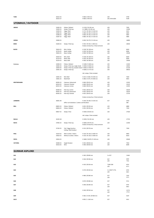| <b>TUNE</b>              | 20222-25<br>20222-27                                                 |                                                                                                                                                  | H 600 / D 90 mm<br>H 600 / D 90 mm                                                                                                                       | LED<br>LED, Dimmable                   | 3730<br>4140                                  |
|--------------------------|----------------------------------------------------------------------|--------------------------------------------------------------------------------------------------------------------------------------------------|----------------------------------------------------------------------------------------------------------------------------------------------------------|----------------------------------------|-----------------------------------------------|
| <b>UTOMHUS / OUTDOOR</b> |                                                                      |                                                                                                                                                  |                                                                                                                                                          |                                        |                                               |
| <b>ABISKO</b>            | 31002-25<br>31003-25<br>31004-25<br>31005-25<br>31006-25<br>31007-25 | Pollare / Bollard<br>Stolpe / Pole-top<br>Vägg / Wall<br>Vägg / Wall<br>Vägg / Wall<br>Vägg / Wall                                               | H 1150 / W 165 mm<br>H ≤ 3800 / W 165 mm<br>H 175 / W 165 / D 150 mm<br>H 400 / W 165 / D 150 mm<br>H 600 / W 165 / D 150 mm<br>H 800 / W 165 / D 150 mm | LED<br>LED<br>LED<br>LED<br>LED<br>LED | 7595<br>13390<br>4415<br>4695<br>4835<br>4985 |
| <b>ASEMA</b>             | 33000-25                                                             |                                                                                                                                                  | H 450 / W 275 / D 110 mm                                                                                                                                 | LED                                    | 14890                                         |
| <b>BEND</b>              | 41604-25                                                             | Stolpe / Pole-top                                                                                                                                | H 335 / W 325 / L 830 mm                                                                                                                                 | LED                                    | 10650                                         |
|                          |                                                                      |                                                                                                                                                  | Endast armaturhus / Only luminaire                                                                                                                       |                                        |                                               |
| <b>BLOCK</b>             | 35624-25<br>35724-25<br>35824-25                                     | Mini, Ceiling<br>Medi, Ceiling<br>Maxi, Ceiling                                                                                                  | H 138 / W 138 mm<br>H 230 / W 230 mm<br>H 500 / W 500 mm                                                                                                 | LED<br>LED<br>LED                      | 6620<br>8260<br>14540                         |
|                          | 35024-25<br>35124-25<br>35224-25                                     | Mini, Wall<br>Medi, Wall<br>Maxi, Wall                                                                                                           | H 138 / W 138 mm<br>H 230 / W 230 mm<br>H 500 / W 500 mm                                                                                                 | LED<br>LED<br>LED                      | 6620<br>8260<br>14540                         |
| <b>ČUOVGA</b>            | 32000-25<br>32002-35<br>32003-35<br>32001-35                         | Pollare / Bollard<br>Stolpe / Pole-top, single shade H 3500 / D 500 mm<br>Stolpe / Pole-top, double shade H 3500 / D 790 mm<br>Stolpe / Pole-top | H 1400 / D 400 mm<br>H 5000 / D 775 mm                                                                                                                   | LED<br>LED<br>LED<br>LED               | 11920<br>19345<br>21130<br>30910              |
|                          |                                                                      |                                                                                                                                                  | Inkl. stolpe / Pole included.                                                                                                                            |                                        |                                               |
|                          | 32001-25<br>33001-25                                                 | Mini Wall<br>Medi Wall                                                                                                                           | H 225 / D 300 / W 240 mm<br>H 280 / D 375 / W 300 mm                                                                                                     | LED<br>LED                             | 7620<br>9655                                  |
| <b>KRISTINEHAMN</b>      | 60305-25<br>60310-25<br>60315-25                                     | Catenary, Galvanized<br>Catenary, Painted<br>Catenary, Corten                                                                                    | H 600 / Ø 425 mm<br>H 600 / Ø 425 mm<br>H 600 / Ø 425 mm                                                                                                 | <b>IFD</b><br>LED<br>LED               | 12335<br>13125<br>12335                       |
|                          | 60300-25<br>60301-25<br>60302-25                                     | Pole-top, Corten<br>Pole-top, Galvanized<br>Pole-top, Painted                                                                                    | H 925 / Ø 425 mm<br>H 925 / Ø 425 mm<br>H 925 / Ø 425 mm                                                                                                 | LED<br>LED<br>LED                      | 16220<br>16220<br>17270                       |
| <b>LARSBERG</b>          | 36001-40                                                             |                                                                                                                                                  | Endast armaturhus / Only luminaire<br>H 140 / W 205 / D 235 mm                                                                                           | E27                                    | 2410                                          |
|                          |                                                                      | Siffror och bokstäver / Letters and Numbers                                                                                                      |                                                                                                                                                          |                                        | 360                                           |
| <b>MILL</b>              | 00825-25<br>00826-25                                                 | Pollare / Bollard<br>Pollare / Bollard                                                                                                           | H 655 / Ø 250 mm<br>H 955 / Ø 250 mm                                                                                                                     | LED<br>LED                             | 6880<br>7350                                  |
|                          | 00827-25                                                             | Stolpe / Post                                                                                                                                    | H 3500 / Ø 250 mm                                                                                                                                        | LED                                    | 17420                                         |
|                          |                                                                      |                                                                                                                                                  | Inkl. stolpe / Pole included.                                                                                                                            |                                        |                                               |
| <b>NAULA</b>             | 34105-28                                                             |                                                                                                                                                  | H 1050 / W 145 mm                                                                                                                                        | LED                                    | 17725                                         |
| <b>NOVA</b>              | 37005-25                                                             | Stolpe / Pole-top                                                                                                                                | H 3000 / Ø 570 mm<br>Endast armaturhus / Only luminaire                                                                                                  | LED                                    | 12340                                         |
|                          | 37105-25                                                             | Tak / Vägg Utomhus<br>Ceiling / Wall Outdoor                                                                                                     | H 155 / Ø 570 mm                                                                                                                                         | LED                                    | 7350                                          |
| PIHA                     | 33224-25<br>33024-25                                                 | With number / letters<br>Without number / letters                                                                                                | H 130 / W 130 / D 300 mm<br>H 130 / W 130 / D 300 mm                                                                                                     | LED<br>LED                             | 6850<br>6610                                  |
| PINTA                    | 33924-25                                                             |                                                                                                                                                  | H 1800 / W 870 / D 130 mm                                                                                                                                | LED                                    | 29340                                         |
| <b>VICTORIA</b>          | 50300-25<br>50310-25                                                 | Single Pendant<br>Wire                                                                                                                           | H 335 / Ø 650 mm<br>H 390 / Ø 650 mm                                                                                                                     | LED<br>LED                             | 7910<br>8290                                  |

## **GUNNAR ASPLUND**

| GA1             | H 185 / Ø 600 mm         | 3 x E27               | 19488          |
|-----------------|--------------------------|-----------------------|----------------|
| GA <sub>2</sub> | H 330 / Ø 290 mm         | E27<br>LED            | 6088<br>7956   |
| GA3             | H 105 / Ø 320 mm         | T16R 22W<br>LED       | 6050<br>6575   |
| GA4             | H 270 / Ø 320 mm         | 2 x 32W TC-TEL<br>LED | 6938<br>8863   |
| GA5             | H 480 / Ø 280 mm         | E27<br>LED            | 5300<br>5575   |
| GA6             | H 670 / Ø 380 mm         | E27                   | 9763           |
| GA7             | H 290 / Ø 290 mm         | E27<br>LED            | 6938<br>8863   |
| GA8             | H 240 / Ø 550 mm         | E27<br>LED            | 16738<br>17913 |
| GA9             | H 365 / D 535 / Ø 360 mm | E27                   | 8269           |
| <b>GA15</b>     | H 855 / L 1165 mm        | E27                   | 8563           |